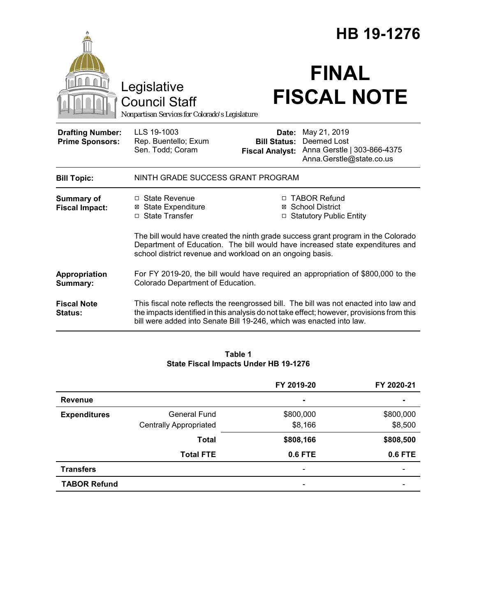|                                                   | HB 19-1276                                                                                                                                                                                                                                                 |                              |                                                                                                        |  |
|---------------------------------------------------|------------------------------------------------------------------------------------------------------------------------------------------------------------------------------------------------------------------------------------------------------------|------------------------------|--------------------------------------------------------------------------------------------------------|--|
|                                                   | Legislative<br><b>Council Staff</b><br>Nonpartisan Services for Colorado's Legislature                                                                                                                                                                     |                              | <b>FINAL</b><br><b>FISCAL NOTE</b>                                                                     |  |
| <b>Drafting Number:</b><br><b>Prime Sponsors:</b> | LLS 19-1003<br>Rep. Buentello; Exum<br>Sen. Todd; Coram                                                                                                                                                                                                    | Date:<br><b>Bill Status:</b> | May 21, 2019<br>Deemed Lost<br>Fiscal Analyst: Anna Gerstle   303-866-4375<br>Anna.Gerstle@state.co.us |  |
| <b>Bill Topic:</b>                                | NINTH GRADE SUCCESS GRANT PROGRAM                                                                                                                                                                                                                          |                              |                                                                                                        |  |
| <b>Summary of</b><br><b>Fiscal Impact:</b>        | □ State Revenue<br><b>⊠</b> State Expenditure<br>□ State Transfer                                                                                                                                                                                          |                              | □ TABOR Refund<br><b>⊠</b> School District<br>□ Statutory Public Entity                                |  |
|                                                   | The bill would have created the ninth grade success grant program in the Colorado<br>Department of Education. The bill would have increased state expenditures and<br>school district revenue and workload on an ongoing basis.                            |                              |                                                                                                        |  |
| Appropriation<br>Summary:                         | For FY 2019-20, the bill would have required an appropriation of \$800,000 to the<br>Colorado Department of Education.                                                                                                                                     |                              |                                                                                                        |  |
| <b>Fiscal Note</b><br><b>Status:</b>              | This fiscal note reflects the reengrossed bill. The bill was not enacted into law and<br>the impacts identified in this analysis do not take effect; however, provisions from this<br>bill were added into Senate Bill 19-246, which was enacted into law. |                              |                                                                                                        |  |

### **Table 1 State Fiscal Impacts Under HB 19-1276**

|                     |                               | FY 2019-20                   | FY 2020-21     |
|---------------------|-------------------------------|------------------------------|----------------|
| <b>Revenue</b>      |                               | ۰                            |                |
| <b>Expenditures</b> | General Fund                  | \$800,000                    | \$800,000      |
|                     | <b>Centrally Appropriated</b> | \$8,166                      | \$8,500        |
|                     | <b>Total</b>                  | \$808,166                    | \$808,500      |
|                     | <b>Total FTE</b>              | 0.6 FTE                      | <b>0.6 FTE</b> |
| <b>Transfers</b>    |                               | $\qquad \qquad \blacksquare$ |                |
| <b>TABOR Refund</b> |                               | $\qquad \qquad \blacksquare$ |                |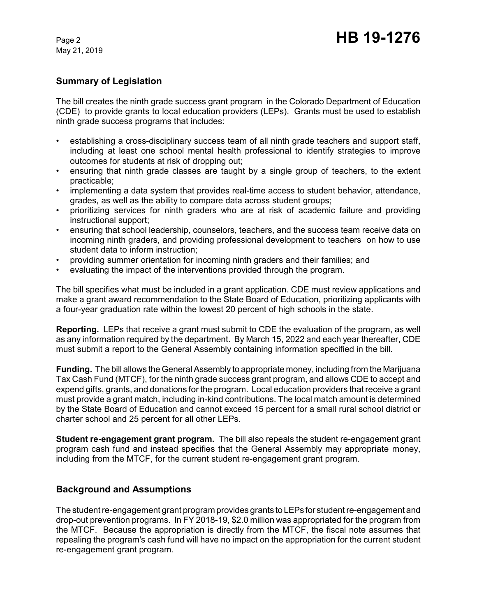May 21, 2019

### **Summary of Legislation**

The bill creates the ninth grade success grant program in the Colorado Department of Education (CDE) to provide grants to local education providers (LEPs). Grants must be used to establish ninth grade success programs that includes:

- establishing a cross-disciplinary success team of all ninth grade teachers and support staff, including at least one school mental health professional to identify strategies to improve outcomes for students at risk of dropping out;
- ensuring that ninth grade classes are taught by a single group of teachers, to the extent practicable;
- implementing a data system that provides real-time access to student behavior, attendance, grades, as well as the ability to compare data across student groups;
- prioritizing services for ninth graders who are at risk of academic failure and providing instructional support;
- ensuring that school leadership, counselors, teachers, and the success team receive data on incoming ninth graders, and providing professional development to teachers on how to use student data to inform instruction;
- providing summer orientation for incoming ninth graders and their families; and
- evaluating the impact of the interventions provided through the program.

The bill specifies what must be included in a grant application. CDE must review applications and make a grant award recommendation to the State Board of Education, prioritizing applicants with a four-year graduation rate within the lowest 20 percent of high schools in the state.

**Reporting.** LEPs that receive a grant must submit to CDE the evaluation of the program, as well as any information required by the department. By March 15, 2022 and each year thereafter, CDE must submit a report to the General Assembly containing information specified in the bill.

**Funding.** The bill allows the General Assembly to appropriate money, including from the Marijuana Tax Cash Fund (MTCF), for the ninth grade success grant program, and allows CDE to accept and expend gifts, grants, and donations for the program. Local education providers that receive a grant must provide a grant match, including in-kind contributions. The local match amount is determined by the State Board of Education and cannot exceed 15 percent for a small rural school district or charter school and 25 percent for all other LEPs.

**Student re-engagement grant program.** The bill also repeals the student re-engagement grant program cash fund and instead specifies that the General Assembly may appropriate money, including from the MTCF, for the current student re-engagement grant program.

### **Background and Assumptions**

The student re-engagement grant program provides grants to LEPs for student re-engagement and drop-out prevention programs. In FY 2018-19, \$2.0 million was appropriated for the program from the MTCF. Because the appropriation is directly from the MTCF, the fiscal note assumes that repealing the program's cash fund will have no impact on the appropriation for the current student re-engagement grant program.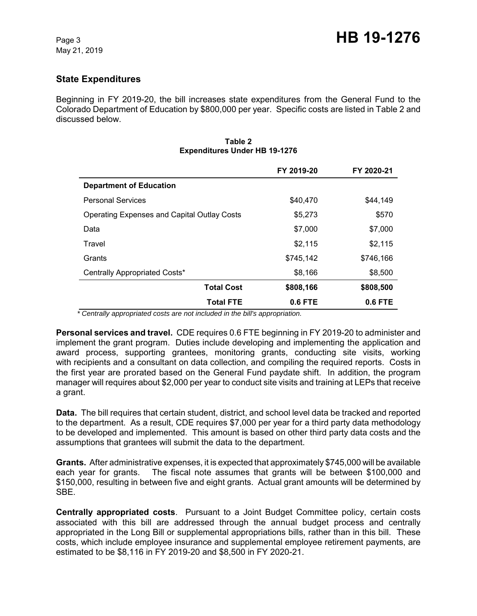## **State Expenditures**

Beginning in FY 2019-20, the bill increases state expenditures from the General Fund to the Colorado Department of Education by \$800,000 per year. Specific costs are listed in Table 2 and discussed below.

|                                                    | FY 2019-20 | FY 2020-21 |
|----------------------------------------------------|------------|------------|
| <b>Department of Education</b>                     |            |            |
| <b>Personal Services</b>                           | \$40,470   | \$44,149   |
| <b>Operating Expenses and Capital Outlay Costs</b> | \$5,273    | \$570      |
| Data                                               | \$7,000    | \$7,000    |
| Travel                                             | \$2,115    | \$2,115    |
| Grants                                             | \$745,142  | \$746,166  |
| Centrally Appropriated Costs*                      | \$8,166    | \$8,500    |
| <b>Total Cost</b>                                  | \$808,166  | \$808,500  |
| <b>Total FTE</b>                                   | $0.6$ FTE  | $0.6$ FTE  |

#### **Table 2 Expenditures Under HB 19-1276**

 *\* Centrally appropriated costs are not included in the bill's appropriation.*

**Personal services and travel.** CDE requires 0.6 FTE beginning in FY 2019-20 to administer and implement the grant program. Duties include developing and implementing the application and award process, supporting grantees, monitoring grants, conducting site visits, working with recipients and a consultant on data collection, and compiling the required reports. Costs in the first year are prorated based on the General Fund paydate shift. In addition, the program manager will requires about \$2,000 per year to conduct site visits and training at LEPs that receive a grant.

**Data.** The bill requires that certain student, district, and school level data be tracked and reported to the department. As a result, CDE requires \$7,000 per year for a third party data methodology to be developed and implemented. This amount is based on other third party data costs and the assumptions that grantees will submit the data to the department.

**Grants.** After administrative expenses, it is expected that approximately \$745,000 will be available each year for grants. The fiscal note assumes that grants will be between \$100,000 and \$150,000, resulting in between five and eight grants. Actual grant amounts will be determined by SBE.

**Centrally appropriated costs**. Pursuant to a Joint Budget Committee policy, certain costs associated with this bill are addressed through the annual budget process and centrally appropriated in the Long Bill or supplemental appropriations bills, rather than in this bill. These costs, which include employee insurance and supplemental employee retirement payments, are estimated to be \$8,116 in FY 2019-20 and \$8,500 in FY 2020-21.